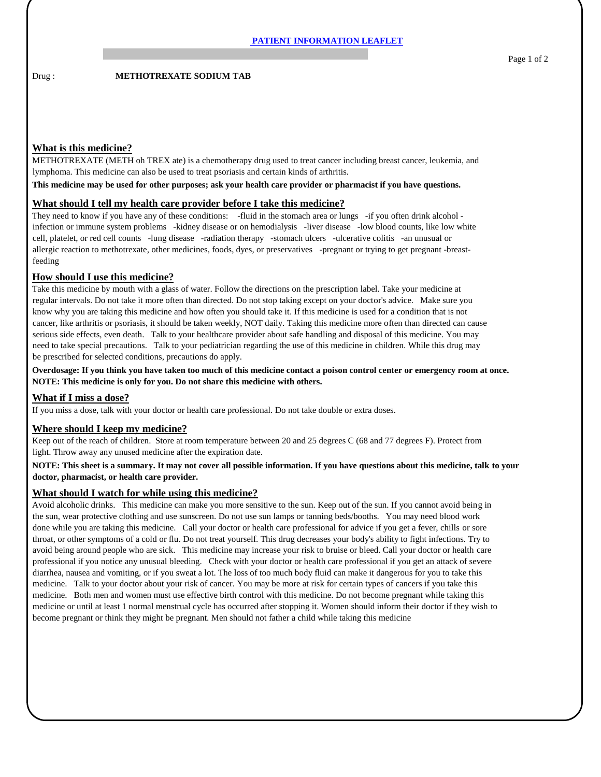Drug : **METHOTREXATE SODIUM TAB** 

# **What is this medicine?**

METHOTREXATE (METH oh TREX ate) is a chemotherapy drug used to treat cancer including breast cancer, leukemia, and lymphoma. This medicine can also be used to treat psoriasis and certain kinds of arthritis.

**This medicine may be used for other purposes; ask your health care provider or pharmacist if you have questions.**

#### **What should I tell my health care provider before I take this medicine?**

They need to know if you have any of these conditions: -fluid in the stomach area or lungs -if you often drink alcohol infection or immune system problems -kidney disease or on hemodialysis -liver disease -low blood counts, like low white cell, platelet, or red cell counts -lung disease -radiation therapy -stomach ulcers -ulcerative colitis -an unusual or allergic reaction to methotrexate, other medicines, foods, dyes, or preservatives -pregnant or trying to get pregnant -breastfeeding

### **How should I use this medicine?**

Take this medicine by mouth with a glass of water. Follow the directions on the prescription label. Take your medicine at regular intervals. Do not take it more often than directed. Do not stop taking except on your doctor's advice. Make sure you know why you are taking this medicine and how often you should take it. If this medicine is used for a condition that is not cancer, like arthritis or psoriasis, it should be taken weekly, NOT daily. Taking this medicine more often than directed can cause serious side effects, even death. Talk to your healthcare provider about safe handling and disposal of this medicine. You may need to take special precautions. Talk to your pediatrician regarding the use of this medicine in children. While this drug may be prescribed for selected conditions, precautions do apply.

**Overdosage: If you think you have taken too much of this medicine contact a poison control center or emergency room at once. NOTE: This medicine is only for you. Do not share this medicine with others.**

# **What if I miss a dose?**

If you miss a dose, talk with your doctor or health care professional. Do not take double or extra doses.

# **Where should I keep my medicine?**

Keep out of the reach of children. Store at room temperature between 20 and 25 degrees C (68 and 77 degrees F). Protect from light. Throw away any unused medicine after the expiration date.

### **NOTE: This sheet is a summary. It may not cover all possible information. If you have questions about this medicine, talk to your doctor, pharmacist, or health care provider.**

#### **What should I watch for while using this medicine?**

Avoid alcoholic drinks. This medicine can make you more sensitive to the sun. Keep out of the sun. If you cannot avoid being in the sun, wear protective clothing and use sunscreen. Do not use sun lamps or tanning beds/booths. You may need blood work done while you are taking this medicine. Call your doctor or health care professional for advice if you get a fever, chills or sore throat, or other symptoms of a cold or flu. Do not treat yourself. This drug decreases your body's ability to fight infections. Try to avoid being around people who are sick. This medicine may increase your risk to bruise or bleed. Call your doctor or health care professional if you notice any unusual bleeding. Check with your doctor or health care professional if you get an attack of severe diarrhea, nausea and vomiting, or if you sweat a lot. The loss of too much body fluid can make it dangerous for you to take this medicine. Talk to your doctor about your risk of cancer. You may be more at risk for certain types of cancers if you take this medicine. Both men and women must use effective birth control with this medicine. Do not become pregnant while taking this medicine or until at least 1 normal menstrual cycle has occurred after stopping it. Women should inform their doctor if they wish to become pregnant or think they might be pregnant. Men should not father a child while taking this medicine